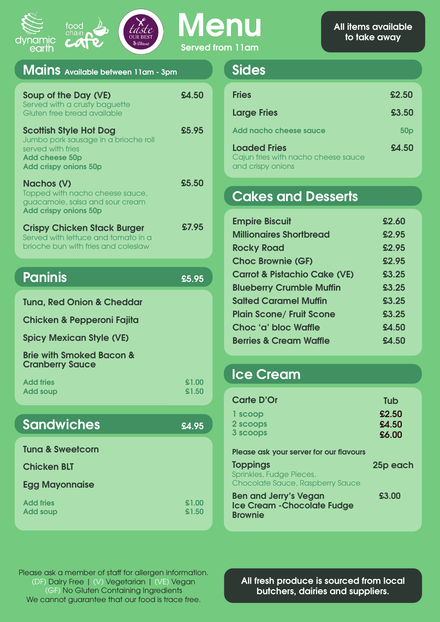| Served from 11am |  |
|------------------|--|

| food<br>chair<br><u>dynamic</u><br>V,<br>& Scotland<br>earth                                                                                        | <b>Served</b>  |
|-----------------------------------------------------------------------------------------------------------------------------------------------------|----------------|
| Mains Available between 11am - 3pm                                                                                                                  |                |
| Soup of the Day (VE)<br>Served with a crusty baguette<br>Gluten free bread available                                                                | £4.50          |
| <b>Scottish Style Hot Dog</b><br>Jumbo pork sausage in a brioche roll<br>served with fries<br><b>Add cheese 50p</b><br><b>Add crispy onions 50p</b> | £5.95          |
| <b>Nachos (V)</b><br>Topped with nacho cheese sauce,<br>guacamole, salsa and sour cream<br><b>Add crispy onions 50p</b>                             | £5.50          |
| <b>Crispy Chicken Stack Burger</b><br>Served with lettuce and tomato in a<br>brioche bun with fries and coleslaw                                    | £7.95          |
| <b>Paninis</b>                                                                                                                                      | 55.95          |
| <b>Tuna, Red Onion &amp; Cheddar</b>                                                                                                                |                |
| <b>Chicken &amp; Pepperoni Fajita</b>                                                                                                               |                |
| <b>Spicy Mexican Style (VE)</b>                                                                                                                     |                |
| <b>Brie with Smoked Bacon &amp;</b><br><b>Cranberry Sauce</b>                                                                                       |                |
| <b>Add fries</b><br><b>Add soup</b>                                                                                                                 | £1.00<br>£1.50 |
|                                                                                                                                                     |                |
| <b>Sandwiches</b>                                                                                                                                   | £4.95          |

**Tuna & Sweetcorn**

**Chicken BLT**

**Egg Mayonnaise**

**Add fries Add soup £1.00 £1.50**

#### **Sides**

| <b>Fries</b>                                                                    | £2.50           |
|---------------------------------------------------------------------------------|-----------------|
| <b>Large Fries</b>                                                              | £3.50           |
| Add nacho cheese sauce                                                          | 50 <sub>p</sub> |
| <b>Loaded Fries</b><br>Cajun fries with nacho cheese sauce<br>and crispy onions | £4.50           |

## **Cakes and Desserts**

| <b>Empire Biscuit</b>                   | £2.60 |
|-----------------------------------------|-------|
| <b>Millionaires Shortbread</b>          | £2.95 |
| <b>Rocky Road</b>                       | £2.95 |
| <b>Choc Brownie (GF)</b>                | £2.95 |
| <b>Carrot &amp; Pistachio Cake (VE)</b> | £3.25 |
| <b>Blueberry Crumble Muffin</b>         | £3.25 |
| <b>Salted Caramel Muffin</b>            | £3.25 |
| <b>Plain Scone/ Fruit Scone</b>         | £3.25 |
| Choc 'a' bloc Waffle                    | £4.50 |
| <b>Berries &amp; Cream Waffle</b>       | £4.50 |

### **Ice Cream**

| Carte D'Or<br>1 scoop<br>2 scoops<br>3 scoops                                        | Tub<br>£2.50<br>£4.50<br>£6.00 |
|--------------------------------------------------------------------------------------|--------------------------------|
| Please ask your server for our flavours                                              |                                |
| <b>Toppings</b><br>Sprinkles, Fudge Pieces,<br>Chocolate Sauce, Raspberry Sauce      | 25p each                       |
| <b>Ben and Jerry's Vegan</b><br><b>Ice Cream - Chocolate Fudge</b><br><b>Brownie</b> | £3.00                          |

Please ask a member of staff for allergen information. (DF) Dairy Free | (V) Vegetarian | (VE) Vegan (GF) No Gluten Containing Ingredients We cannot guarantee that our food is trace free.

**All fresh produce is sourced from local butchers, dairies and suppliers.**